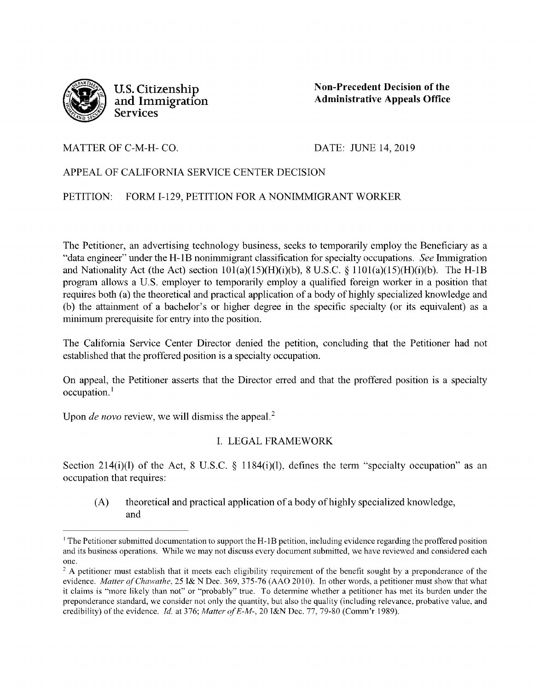

**U.S. Citizenship and Immigration Services** 

**Non-Precedent Decision of the Administrative Appeals Office** 

#### MATTER OF C-M-H- CO.

DATE: JUNE 14, 2019

# APPEAL OF CALIFORNIA SERVICE CENTER DECISION

#### PETITION: FORM I-129, PETITION FOR A NONIMMIGRANT WORKER

The Petitioner, an advertising technology business, seeks to temporarily employ the Beneficiary as a "data engineer" under the H-1B nonimmigrant classification for specialty occupations. *See* Immigration and Nationality Act (the Act) section  $101(a)(15)(H)(i)(b)$ , 8 U.S.C. §  $1101(a)(15)(H)(i)(b)$ . The H-1B program allows a U.S. employer to temporarily employ a qualified foreign worker in a position that requires both (a) the theoretical and practical application of a body of highly specialized knowledge and (b) the attainment of a bachelor's or higher degree in the specific specialty (or its equivalent) as a minimum prerequisite for entry into the position.

The California Service Center Director denied the petition, concluding that the Petitioner had not established that the proffered position is a specialty occupation.

On appeal, the Petitioner asserts that the Director erred and that the proffered position is a specialty occupation.<sup>1</sup>

Upon *de novo* review, we will dismiss the appeal.<sup>2</sup>

## I. LEGAL FRAMEWORK

Section 214(i)(l) of the Act, 8 U.S.C.  $\S$  1184(i)(l), defines the term "specialty occupation" as an occupation that requires:

(A) theoretical and practical application of a body of highly specialized knowledge, and

<sup>1</sup>The Petitioner submitted documentation to support the H-IB petition, including evidence regarding the proffered position and its business operations. While we may not discuss every document submitted, we have reviewed and considered each one.

 $2A$  petitioner must establish that it meets each eligibility requirement of the benefit sought by a preponderance of the evidence. *Matter of Chawathe.* 25 I& N Dec. 369, 375-76 (AAO 2010). In other words, a petitioner must show that what it claims is "more likely than not" or "probably" true. To determine whether a petitioner has met its burden under the preponderance standard, we consider not only the quantity, but also the quality (including relevance, probative value, and credibility) of the evidence. *Id.* at 376; *Matter of E-M-,* 20 I&N Dec. 77, 79-80 (Comm'r 1989).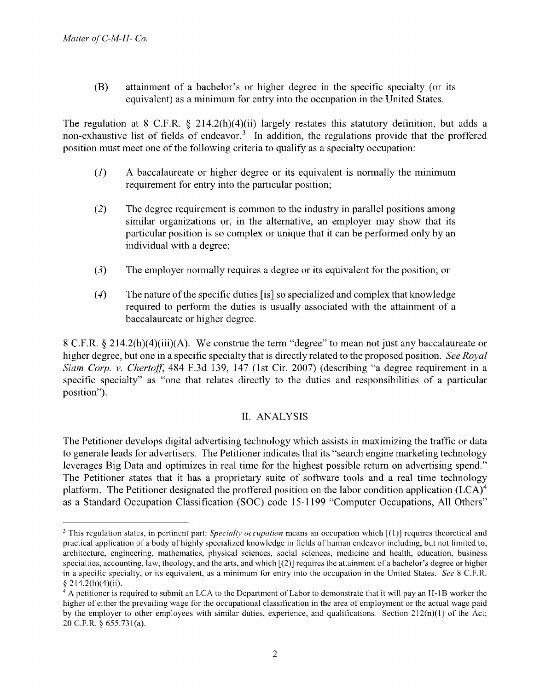(B) attainment of a bachelor's or higher degree in the specific specialty (or its equivalent) as a minimum for entry into the occupation in the United States.

The regulation at 8 C.F.R.  $\S$  214.2(h)(4)(ii) largely restates this statutory definition, but adds a non-exhaustive list of fields of endeavor.<sup>3</sup> In addition, the regulations provide that the proffered position must meet one of the following criteria to qualify as a specialty occupation:

- (I) A baccalaureate or higher degree or its equivalent is normally the minimum requirement for entry into the particular position;
- (2) The degree requirement is common to the industry in parallel positions among similar organizations or, in the alternative, an employer may show that its particular position is so complex or unique that it can be performed only by an individual with a degree;
- (3) The employer normally requires a degree or its equivalent for the position; or
- (4) The nature of the specific duties [is] so specialized and complex that knowledge required to perform the duties is usually associated with the attainment of a baccalaureate or higher degree.

8 C.F.R. § 214.2(h)(4)(iii)(A). We construe the term "degree" to mean not just any baccalaureate or higher degree, but one in a specific specialty that is directly related to the proposed position. *See Royal Siam Corp. v. Chertoff,* 484 F.3d 139, 147 (1st Cir. 2007) (describing "a degree requirement in a specific specialty" as "one that relates directly to the duties and responsibilities of a particular position").

## II. ANALYSIS

The Petitioner develops digital advertising technology which assists in maximizing the traffic or data to generate leads for advertisers. The Petitioner indicates that its "search engine marketing technology leverages Big Data and optimizes in real time for the highest possible return on advertising spend." The Petitioner states that it has a proprietary suite of software tools and a real time technology platform. The Petitioner designated the proffered position on the labor condition application (LCA)<sup>4</sup> as a Standard Occupation Classification (SOC) code 15-1199 "Computer Occupations, All Others"

<sup>&</sup>lt;sup>3</sup> This regulation states, in pertinent part: *Specialty occupation* means an occupation which [(1)] requires theoretical and practical application of a body of highly specialized knowledge in fields of human endeavor including, but not limited to, architecture, engineering, mathematics, physical sciences, social sciences, medicine and health, education, business specialties, accounting, law, theology, and the arts, and which  $[2]$  requires the attainment of a bachelor's degree or higher in a specific specialty, or its equivalent, as a minimum for entry into the occupation in the United States. *See* 8 C.F.R.  $§$  214.2(h)(4)(ii).

 $4$  A petitioner is required to submit an LCA to the Department of Labor to demonstrate that it will pay an H-1B worker the higher of either the prevailing wage for the occupational classification in the area of employment or the actual wage paid by the employer to other employees with similar duties, experience, and qualifications. Section  $212(n)(1)$  of the Act; 20 C.F.R. § 655.73l(a).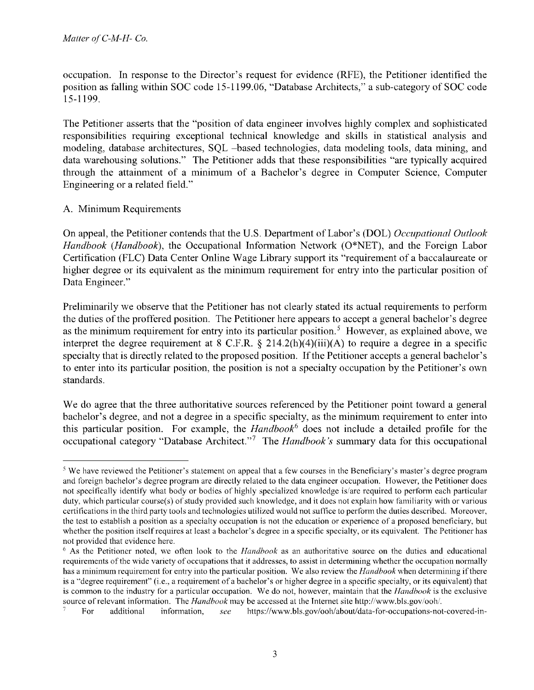occupation. In response to the Director's request for evidence (RFE), the Petitioner identified the position as falling within SOC code 15-1199.06, "Database Architects," a sub-category of SOC code 15-1199.

The Petitioner asserts that the "position of data engineer involves highly complex and sophisticated responsibilities requiring exceptional technical knowledge and skills in statistical analysis and modeling, database architectures, SQL -based technologies, data modeling tools, data mining, and data warehousing solutions." The Petitioner adds that these responsibilities "are typically acquired through the attainment of a minimum of a Bachelor's degree in Computer Science, Computer Engineering or a related field."

## A. Minimum Requirements

On appeal, the Petitioner contends that the U.S. Department of Labor's (DOL) *Occupational Outlook Handbook (Handbook),* the Occupational Information Network (O\*NET), and the Foreign Labor Certification (FLC) Data Center Online Wage Library support its "requirement of a baccalaureate or higher degree or its equivalent as the minimum requirement for entry into the particular position of Data Engineer."

Preliminarily we observe that the Petitioner has not clearly stated its actual requirements to perform the duties of the proffered position. The Petitioner here appears to accept a general bachelor's degree as the minimum requirement for entry into its particular position.<sup>5</sup> However, as explained above, we interpret the degree requirement at 8 C.F.R.  $\S$  214.2(h)(4)(iii)(A) to require a degree in a specific specialty that is directly related to the proposed position. If the Petitioner accepts a general bachelor's to enter into its particular position, the position is not a specialty occupation by the Petitioner's own standards.

We do agree that the three authoritative sources referenced by the Petitioner point toward a general bachelor's degree, and not a degree in a specific specialty, as the minimum requirement to enter into this particular position. For example, the *Handbook*<sup>6</sup> does not include a detailed profile for the occupational category "Database Architect."<sup>7</sup> The *Handbook's* summary data for this occupational

<sup>&</sup>lt;sup>5</sup> We have reviewed the Petitioner's statement on appeal that a few courses in the Beneficiary's master's degree program and foreign bachelor's degree program are directly related to the data engineer occupation. However, the Petitioner does not specifically identify what body or bodies of highly specialized knowledge is/are required to perform each particular duty, which particular course(s) of study provided such knowledge, and it does not explain how familiarity with or various certifications in the third party tools and technologies utilized would not suffice to perform the duties described. Moreover, the test to establish a position as a specialty occupation is not the education or experience of a proposed beneficiary, but whether the position itself requires at least a bachelor's degree in a specific specialty, or its equivalent. The Petitioner has not provided that evidence here.

<sup>6</sup>As the Petitioner noted, we often look to the *Handbook* as an authoritative source on the duties and educational requirements of the wide variety of occupations that it addresses, to assist in determining whether the occupation normally has a minimum requirement for entry into the particular position. We also review the *Handbook* when determining if there is a "degree requirement" (i.e., a requirement of a bachelor's or higher degree in a specific specialty, or its equivalent) that is common to the industry for a particular occupation. We do not, however, maintain that the *Handbook* is the exclusive source ofrelevant information. The *Handbook* may be accessed at the Internet site http://www.bls.gov/ooh/.

<sup>7</sup> For additional information, *see* https://www.bls.gov/ooh/about/data-for-occupations-not-covered-in-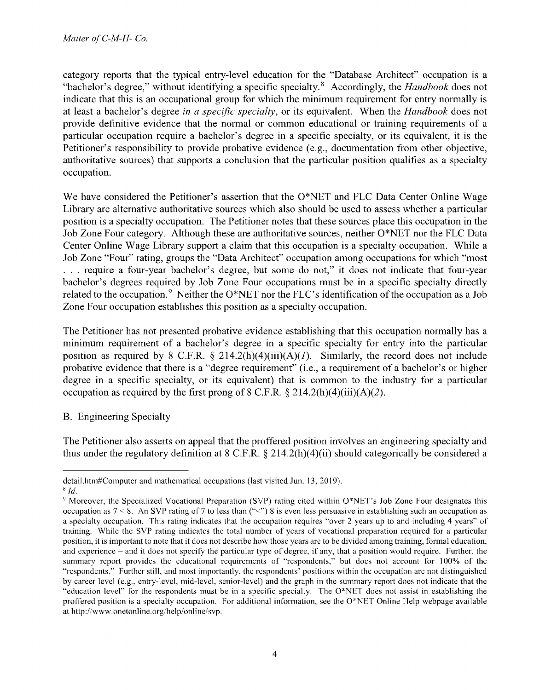category reports that the typical entry-level education for the "Database Architect" occupation is a "bachelor's degree," without identifying a specific specialty.<sup>8</sup> Accordingly, the *Handbook* does not indicate that this is an occupational group for which the minimum requirement for entry normally is at least a bachelor's degree *in a spec[fic specialty,* or its equivalent. When the *Handbook* does not provide definitive evidence that the normal or common educational or training requirements of a particular occupation require a bachelor's degree in a specific specialty, or its equivalent, it is the Petitioner's responsibility to provide probative evidence (e.g., documentation from other objective, authoritative sources) that supports a conclusion that the particular position qualifies as a specialty occupation.

We have considered the Petitioner's assertion that the O\*NET and FLC Data Center Online Wage Library are alternative authoritative sources which also should be used to assess whether a particular position is a specialty occupation. The Petitioner notes that these sources place this occupation in the Job Zone Four category. Although these are authoritative sources, neither O\*NET nor the FLC Data Center Online Wage Library support a claim that this occupation is a specialty occupation. While a Job Zone "Four" rating, groups the "Data Architect" occupation among occupations for which "most ... require a four-year bachelor's degree, but some do not," it does not indicate that four-year bachelor's degrees required by Job Zone Four occupations must be in a specific specialty directly related to the occupation.<sup>9</sup> Neither the O\*NET nor the FLC's identification of the occupation as a Job Zone Four occupation establishes this position as a specialty occupation.

The Petitioner has not presented probative evidence establishing that this occupation normally has a minimum requirement of a bachelor's degree in a specific specialty for entry into the particular position as required by 8 C.F.R.  $\S$  214.2(h)(4)(iii)(A)(1). Similarly, the record does not include probative evidence that there is a "degree requirement" (i.e., a requirement of a bachelor's or higher degree in a specific specialty, or its equivalent) that is common to the industry for a particular occupation as required by the first prong of  $8$  C.F.R.  $\S$  214.2(h)(4)(iii)(A)(2).

## B. Engineering Specialty

The Petitioner also asserts on appeal that the proffered position involves an engineering specialty and thus under the regulatory definition at 8 C.F.R. § 214.2(h)(4)(ii) should categorically be considered a

detail.htm#Computer and mathematical occupations (last visited Jun. 13, 2019). <sup>8</sup>*Id.* 

<sup>9</sup>Moreover, the Specialized Vocational Preparation (SVP) rating cited within O\*NET's Job Zone Four designates this occupation as  $7 < 8$ . An SVP rating of 7 to less than ("<") 8 is even less persuasive in establishing such an occupation as a specialty occupation. This rating indicates that the occupation requires "over 2 years up to and including 4 years" of training. While the SVP rating indicates the total number of years of vocational preparation required for a particular position, it is important to note that it does not describe how those years are to be divided among training, formal education. and experience – and it does not specify the particular type of degree, if any, that a position would require. Further, the summary report provides the educational requirements of "respondents," but does not account for 100% of the "respondents." Further still. and most importantly, the respondents' positions within the occupation are not distinguished by career level (e.g., entry-level, mid-level, senior-level) and the graph in the summary report does not indicate that the "education level" for the respondents must be in a specific specialty. The  $O^*NET$  does not assist in establishing the proffered position is a specialty occupation. For additional information, see the O\*NET Online Help webpage available at http://www.onetonline.org/help/online/svp.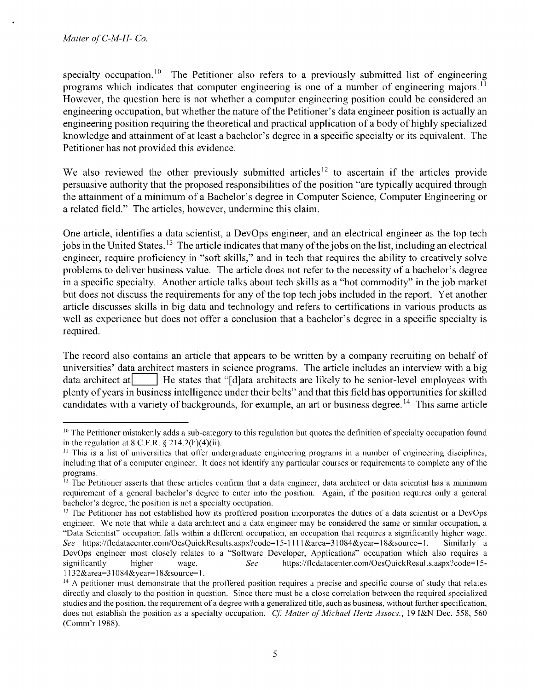specialty occupation.<sup>10</sup> The Petitioner also refers to a previously submitted list of engineering programs which indicates that computer engineering is one of a number of engineering majors.<sup>11</sup> However, the question here is not whether a computer engineering position could be considered an engineering occupation, but whether the nature of the Petitioner's data engineer position is actually an engineering position requiring the theoretical and practical application of a body of highly specialized knowledge and attainment of at least a bachelor's degree in a specific specialty or its equivalent. The Petitioner has not provided this evidence.

We also reviewed the other previously submitted articles<sup>12</sup> to ascertain if the articles provide persuasive authority that the proposed responsibilities of the position "are typically acquired through the attainment of a minimum of a Bachelor's degree in Computer Science, Computer Engineering or a related field." The articles, however, undermine this claim.

One article, identifies a data scientist, a DevOps engineer, and an electrical engineer as the top tech jobs in the United States.<sup>13</sup> The article indicates that many of the jobs on the list, including an electrical engineer, require proficiency in "soft skills," and in tech that requires the ability to creatively solve problems to deliver business value. The article does not refer to the necessity of a bachelor's degree in a specific specialty. Another article talks about tech skills as a "hot commodity" in the job market but does not discuss the requirements for any of the top tech jobs included in the report. Yet another article discusses skills in big data and technology and refers to certifications in various products as well as experience but does not offer a conclusion that a bachelor's degree in a specific specialty is required.

The record also contains an article that appears to be written by a company recruiting on behalf of universities' data architect masters in science programs. The article includes an interview with a big data architect at  $\Box$  He states that "[d]ata architects are likely to be senior-level employees with plenty of years in business intelligence under their belts" and that this field has opportunities for skilled candidates with a variety of backgrounds, for example, an art or business degree. 14 This same article

 $10$  The Petitioner mistakenly adds a sub-category to this regulation but quotes the definition of specialty occupation found in the regulation at 8 C.F.R.  $\S 214.2(h)(4)(ii)$ .<br><sup>11</sup> This is a list of universities that offer undergraduate engineering programs in a number of engineering disciplines,

including that of a computer engineer. It does not identify any particular courses or requirements to complete any of the programs.

 $12$  The Petitioner asserts that these articles confirm that a data engineer, data architect or data scientist has a minimum requirement of a general bachelor's degree to enter into the position. Again, if the position requires only a general bachelor's degree, the position is not a specialty occupation.

<sup>&</sup>lt;sup>13</sup> The Petitioner has not established how its proffered position incorporates the duties of a data scientist or a DevOps engineer. We note that while a data architect and a data engineer may be considered the same or similar occupation, a "Data Scientist" occupation falls within a different occupation, an occupation that requires a significantly higher wage. *See* https:/ /flcdatacenter.com/OesQuickResults.aspx?code= 15-1 I I I &area=3 l 084&year= l 8&source= I. Similarly a DevOps engineer most closely relates to a "Software Developer, Applications" occupation which also requires a significantly higher wage. *Sec* https://flcdatacenter.com/OesQuickResults.aspx?code= 15-

<sup>1132&</sup>amp;area=31084&year=18&source=1.<br><sup>14</sup> A petitioner must demonstrate that the proffered position requires a precise and specific course of study that relates directly and closely to the position in question. Since there must be a close correlation between the required specialized studies and the position, the requirement of a degree with a generalized title, such as business, without further specification, does not establish the position as a specialty occupation. Cf. Matter of Michael Hertz Assocs., 19 I&N Dec. 558, 560 (Comm'r 1988).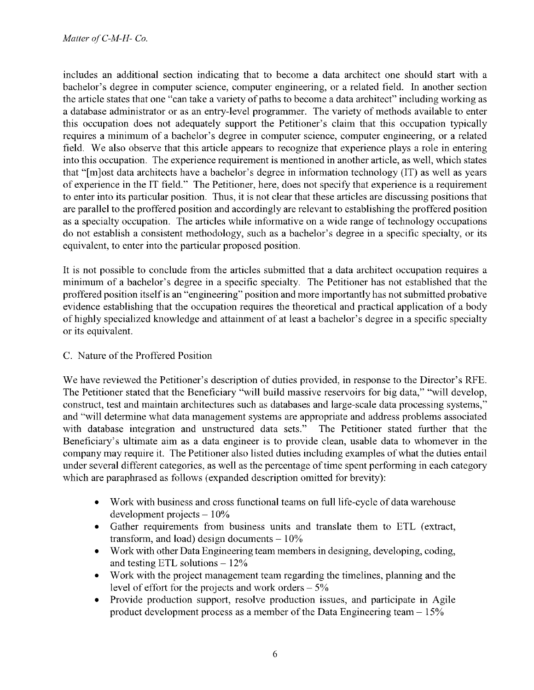includes an additional section indicating that to become a data architect one should start with a bachelor's degree in computer science, computer engineering, or a related field. In another section the article states that one "can take a variety of paths to become a data architect" including working as a database administrator or as an entry-level programmer. The variety of methods available to enter this occupation does not adequately support the Petitioner's claim that this occupation typically requires a minimum of a bachelor's degree in computer science, computer engineering, or a related field. We also observe that this article appears to recognize that experience plays a role in entering into this occupation. The experience requirement is mentioned in another article, as well, which states that "[m]ost data architects have a bachelor's degree in information technology (IT) as well as years of experience in the IT field." The Petitioner, here, does not specify that experience is a requirement to enter into its particular position. Thus, it is not clear that these articles are discussing positions that are parallel to the proffered position and accordingly are relevant to establishing the proffered position as a specialty occupation. The articles while informative on a wide range of technology occupations do not establish a consistent methodology, such as a bachelor's degree in a specific specialty, or its equivalent, to enter into the particular proposed position.

It is not possible to conclude from the articles submitted that a data architect occupation requires a minimum of a bachelor's degree in a specific specialty. The Petitioner has not established that the proffered position itself is an "engineering" position and more importantly has not submitted probative evidence establishing that the occupation requires the theoretical and practical application of a body of highly specialized knowledge and attainment of at least a bachelor's degree in a specific specialty or its equivalent.

## C. Nature of the Proffered Position

We have reviewed the Petitioner's description of duties provided, in response to the Director's RFE. The Petitioner stated that the Beneficiary "will build massive reservoirs for big data," "will develop, construct, test and maintain architectures such as databases and large-scale data processing systems," and "will determine what data management systems are appropriate and address problems associated with database integration and unstructured data sets." The Petitioner stated further that the Beneficiary's ultimate aim as a data engineer is to provide clean, usable data to whomever in the company may require it. The Petitioner also listed duties including examples of what the duties entail under several different categories, as well as the percentage of time spent performing in each category which are paraphrased as follows (expanded description omitted for brevity):

- Work with business and cross functional teams on full life-cycle of data warehouse development projects  $-10\%$
- Gather requirements from business units and translate them to ETL (extract, transform, and load) design documents  $-10\%$
- Work with other Data Engineering team members in designing, developing, coding, and testing ETL solutions  $-12\%$
- Work with the project management team regarding the timelines, planning and the level of effort for the projects and work orders  $-5\%$
- Provide production support, resolve production issues, and participate in Agile product development process as a member of the Data Engineering team  $- 15\%$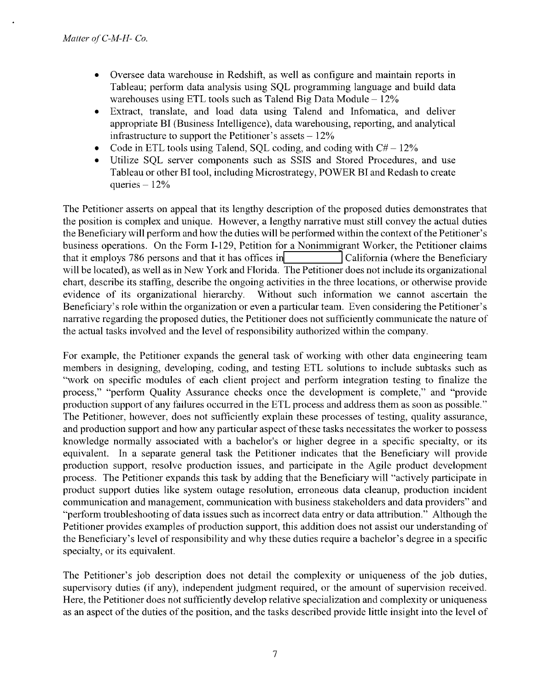- Oversee data warehouse in Redshift, as well as configure and maintain reports in Tableau; perform data analysis using SQL programming language and build data warehouses using ETL tools such as Talend Big Data Module  $-12\%$
- Extract, translate, and load data using Talend and Infomatica, and deliver appropriate BI (Business Intelligence), data warehousing, reporting, and analytical infrastructure to support the Petitioner's assets  $-12\%$
- Code in ETL tools using Talend, SQL coding, and coding with  $C# 12\%$
- Utilize SQL server components such as SSIS and Stored Procedures, and use Tableau or other BI tool, including Microstrategy, POWER BI and Redash to create queries  $-12%$

The Petitioner asserts on appeal that its lengthy description of the proposed duties demonstrates that the position is complex and unique. However, a lengthy narrative must still convey the actual duties the Beneficiary will perform and how the duties will be performed within the context of the Petitioner's business operations. On the Form I-129, Petition for a Nonimmigrant Worker, the Petitioner claims that it employs 786 persons and that it has offices in California (where the Beneficiary will be located), as well as in New York and Florida. The Petitioner does not include its organizational chart, describe its staffing, describe the ongoing activities in the three locations, or otherwise provide evidence of its organizational hierarchy. Without such information we cannot ascertain the Beneficiary's role within the organization or even a particular team. Even considering the Petitioner's narrative regarding the proposed duties, the Petitioner does not sufficiently communicate the nature of the actual tasks involved and the level of responsibility authorized within the company.

For example, the Petitioner expands the general task of working with other data engineering team members in designing, developing, coding, and testing ETL solutions to include subtasks such as "work on specific modules of each client project and perform integration testing to finalize the process," "perform Quality Assurance checks once the development is complete," and "provide production support of any failures occurred in the ETL process and address them as soon as possible." The Petitioner, however, does not sufficiently explain these processes of testing, quality assurance, and production support and how any particular aspect of these tasks necessitates the worker to possess knowledge normally associated with a bachelor's or higher degree in a specific specialty, or its equivalent. In a separate general task the Petitioner indicates that the Beneficiary will provide production support, resolve production issues, and participate in the Agile product development process. The Petitioner expands this task by adding that the Beneficiary will "actively participate in product support duties like system outage resolution, erroneous data cleanup, production incident communication and management, communication with business stakeholders and data providers" and "perform troubleshooting of data issues such as incorrect data entry or data attribution." Although the Petitioner provides examples of production support, this addition does not assist our understanding of the Beneficiary's level of responsibility and why these duties require a bachelor's degree in a specific specialty, or its equivalent.

The Petitioner's job description does not detail the complexity or uniqueness of the job duties, supervisory duties (if any), independent judgment required, or the amount of supervision received. Here, the Petitioner does not sufficiently develop relative specialization and complexity or uniqueness as an aspect of the duties of the position, and the tasks described provide little insight into the level of